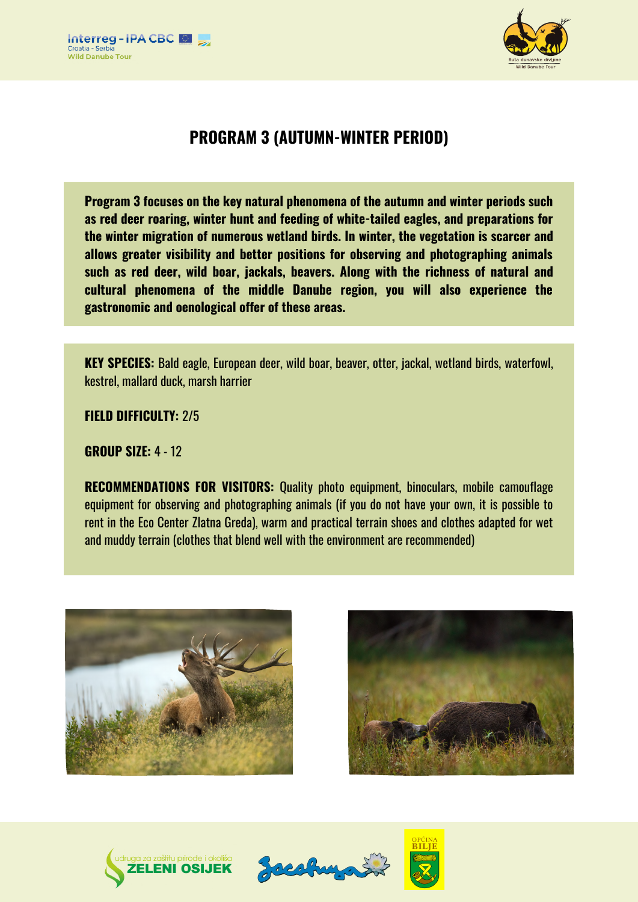



# **PROGRAM 3 (AUTUMN-WINTER PERIOD)**

**Program 3 focuses on the key natural phenomena of the autumn and winter periods such as red deer roaring, winter hunt and feeding of white-tailed eagles, and preparations for the winter migration of numerous wetland birds. In winter, the vegetation is scarcer and allows greater visibility and better positions for observing and photographing animals such as red deer, wild boar, jackals, beavers. Along with the richness of natural and cultural phenomena of the middle Danube region, you will also experience the gastronomic and oenological offer of these areas.**

**KEY SPECIES:** Bald eagle, European deer, wild boar, beaver, otter, jackal, wetland birds, waterfowl, kestrel, mallard duck, marsh harrier

**FIELD DIFFICULTY:** 2/5

**GROUP SIZE:** 4 - 12

**RECOMMENDATIONS FOR VISITORS:** Quality photo equipment, binoculars, mobile camouflage equipment for observing and photographing animals (if you do not have your own, it is possible to rent in the Eco Center Zlatna Greda), warm and practical terrain shoes and clothes adapted for wet and muddy terrain (clothes that blend well with the environment are recommended)









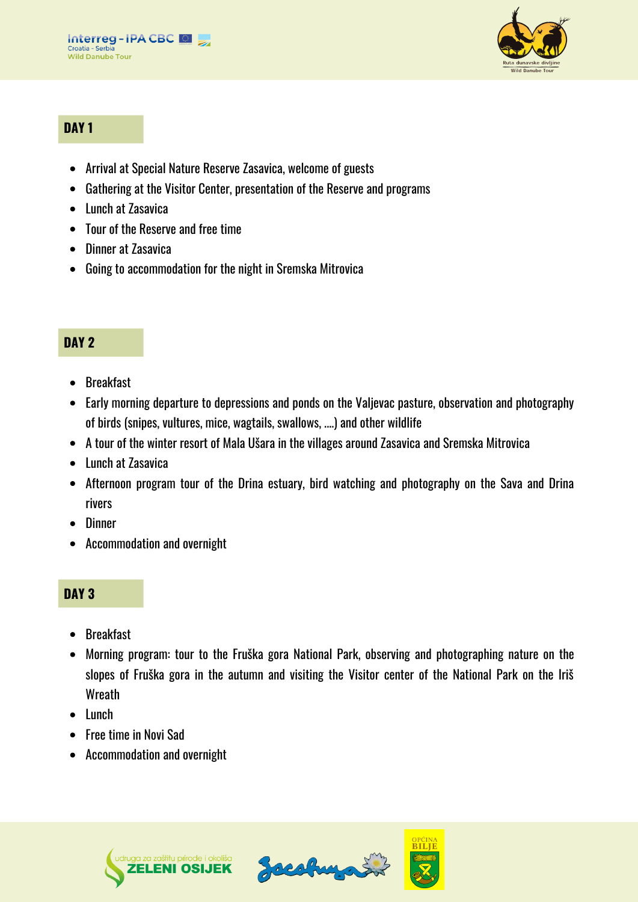

## **DAY 1**

- Arrival at Special Nature Reserve Zasavica, welcome of guests
- Gathering at the Visitor Center, presentation of the Reserve and programs
- Lunch at Zasavica
- Tour of the Reserve and free time
- Dinner at Zasavica
- Going to accommodation for the night in Sremska Mitrovica

## **DAY 2**

- Breakfast
- Early morning departure to depressions and ponds on the Valjevac pasture, observation and photography of birds (snipes, vultures, mice, wagtails, swallows, ....) and other wildlife
- A tour of the winter resort of Mala Ušara in the villages around Zasavica and Sremska Mitrovica
- Lunch at Zasavica
- Afternoon program tour of the Drina estuary, bird watching and photography on the Sava and Drina rivers
- Dinner
- Accommodation and overnight

## **DAY 3**

- Breakfast
- Morning program: tour to the Fruška gora National Park, observing and photographing nature on the slopes of Fruška gora in the autumn and visiting the Visitor center of the National Park on the Iriš Wreath
- Lunch
- Free time in Novi Sad
- Accommodation and overnight